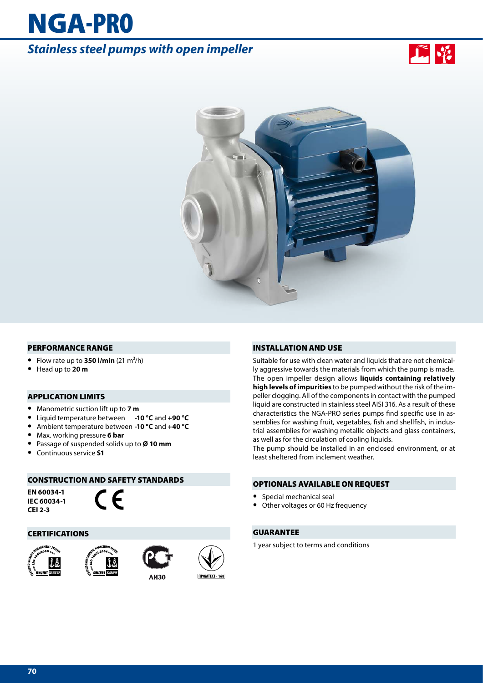# NGA-PRO

# *Stainless steel pumps with open impeller*





#### PERFORMANCE RANGE

- Flow rate up to **350 l/min**  $(21 \text{ m}^3/\text{h})$
- **•** Head up to **20 m**

#### APPLICATION LIMITS

- **•** Manometric suction lift up to **7 m**
- **•** Liquid temperature between **-10 °C** and **+90 °C**
- **•** Ambient temperature between **-10 °C** and **+40 °C**
- **•** Max. working pressure **6 bar**
- **•** Passage of suspended solids up to **Ø 10 mm**
- **•** Continuous service **S1**

#### CONSTRUCTION AND SAFETY STANDARDS

**EN 60034-1 IEC 60034-1 CEI 2-3**



#### CERTIFICATIONS









#### INSTALLATION AND USE

Suitable for use with clean water and liquids that are not chemically aggressive towards the materials from which the pump is made. The open impeller design allows **liquids containing relatively high levels of impurities** to be pumped without the risk of the impeller clogging. All of the components in contact with the pumped liquid are constructed in stainless steel AISI 316. As a result of these characteristics the NGA-PRO series pumps find specific use in assemblies for washing fruit, vegetables, fish and shellfish, in industrial assemblies for washing metallic objects and glass containers, as well as for the circulation of cooling liquids.

The pump should be installed in an enclosed environment, or at least sheltered from inclement weather.

#### OPTIONALS AVAILABLE ON REQUEST

- **•** Special mechanical seal
- **•** Other voltages or 60 Hz frequency

#### GUARANTEE

1 year subject to terms and conditions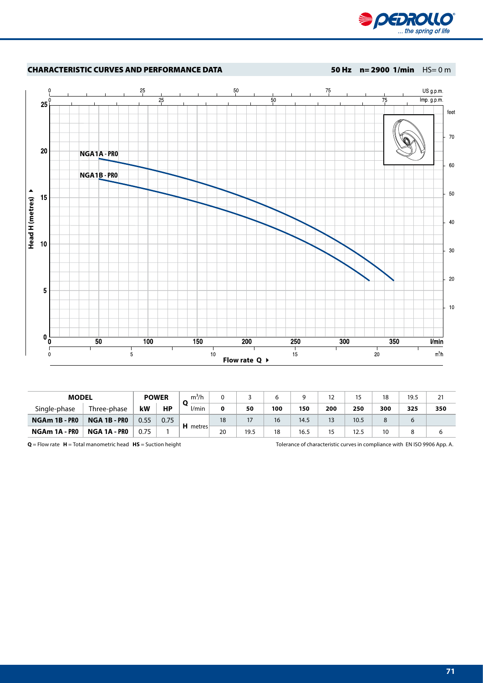

## **CHARACTERISTIC CURVES AND PERFORMANCE DATA**<br>  $\frac{1}{25}$ <br>  $\frac{1}{25}$ <br>  $\frac{1}{25}$ <br>  $\frac{1}{25}$ <br>  $\frac{1}{25}$ <br>  $\frac{1}{25}$ <br>  $\frac{1}{25}$ <br>  $\frac{1}{25}$ <br>  $\frac{1}{25}$ <br>  $\frac{1}{25}$ <br>  $\frac{1}{25}$ <br>  $\frac{1}{25}$ <br>  $\frac{1}{25}$ <br>  $\frac{1}{25}$ <br>  $\frac{1}{25$ **NGA1A - PRO NGA1B - PRO**  $20\,$  $\overline{\mathbf{5}}$  $10$  $0\frac{L}{0}$  $\overline{50}$  $100$ **150**  $\overline{200}$ 250  $\overline{300}$  $\overline{350}$  $Vmin$  $\frac{200}{15}$  $\begin{matrix} 0 \\ 0 \end{matrix}$  $10$  $\overline{5}$  $20$  $m^3/h$ **Flow rate Q**  $\rightarrow$

| <b>MODEL</b>  |              | <b>POWER</b> |           | $m^3/h$          |    |      |     |      | $12 \overline{ }$ | 15   | 18  | 19.5 | 21  |
|---------------|--------------|--------------|-----------|------------------|----|------|-----|------|-------------------|------|-----|------|-----|
| Single-phase  | Three-phase  | kW           | <b>HP</b> | V <sub>min</sub> | 0  | 50   | 100 | 150  | 200               | 250  | 300 | 325  | 350 |
| NGAm 1B - PRO | NGA 1B - PRO | 0.55         | 0.75      | H metres         | 18 | 17   | 16  | 14.5 | 13                | 10.5 |     | b    |     |
| NGAm 1A - PRO | NGA 1A - PRO | 0.75         |           |                  | 20 | 19.5 | 18  | 16.5 | 15                | 12.5 | 10  |      |     |

**Q** = Flow rate **H** = Total manometric head **HS** = Suction height Tolerance of characteristic curves in compliance with EN ISO 9906 App. A.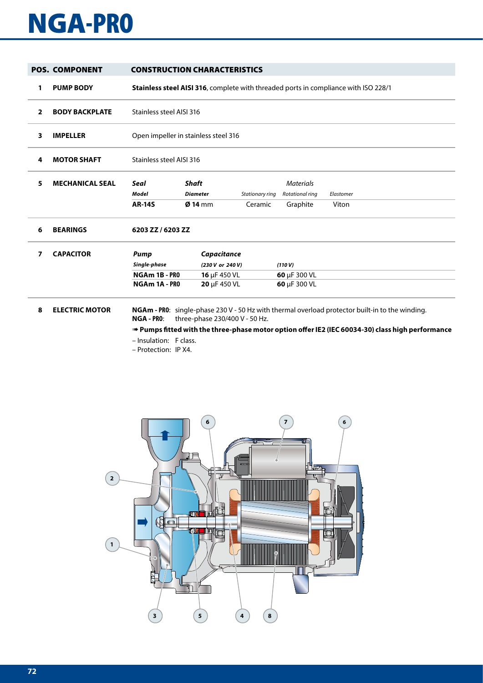# NGA-PRO

|                | <b>POS. COMPONENT</b>  |                                                        | <b>CONSTRUCTION CHARACTERISTICS</b>                                                 |                            |                                                 |                                                                                                        |  |  |  |  |  |  |
|----------------|------------------------|--------------------------------------------------------|-------------------------------------------------------------------------------------|----------------------------|-------------------------------------------------|--------------------------------------------------------------------------------------------------------|--|--|--|--|--|--|
| 1              | <b>PUMP BODY</b>       |                                                        | Stainless steel AISI 316, complete with threaded ports in compliance with ISO 228/1 |                            |                                                 |                                                                                                        |  |  |  |  |  |  |
| $\overline{2}$ | <b>BODY BACKPLATE</b>  |                                                        | Stainless steel AISI 316                                                            |                            |                                                 |                                                                                                        |  |  |  |  |  |  |
| 3              | <b>IMPELLER</b>        |                                                        | Open impeller in stainless steel 316                                                |                            |                                                 |                                                                                                        |  |  |  |  |  |  |
| 4              | <b>MOTOR SHAFT</b>     |                                                        | Stainless steel AISI 316                                                            |                            |                                                 |                                                                                                        |  |  |  |  |  |  |
| 5              | <b>MECHANICAL SEAL</b> | Seal<br>Model<br><b>AR-14S</b>                         | <b>Shaft</b><br><b>Diameter</b><br>$Q$ 14 mm                                        | Stationary ring<br>Ceramic | <b>Materials</b><br>Rotational ring<br>Graphite | Elastomer<br>Viton                                                                                     |  |  |  |  |  |  |
| 6              | <b>BEARINGS</b>        | 6203 ZZ / 6203 ZZ                                      |                                                                                     |                            |                                                 |                                                                                                        |  |  |  |  |  |  |
| 7              | <b>CAPACITOR</b>       | Pump<br>Single-phase<br>NGAm 1B - PRO<br>NGAm 1A - PRO | Capacitance<br>(230 V or 240 V)<br>16 $\mu$ F 450 VL<br>20 µF 450 VL                |                            | (110 V)<br>60 µF 300 VL<br>60 µF 300 VL         |                                                                                                        |  |  |  |  |  |  |
| 8              | <b>ELECTRIC MOTOR</b>  | <b>NGA - PRO:</b>                                      | three-phase 230/400 V - 50 Hz.                                                      |                            |                                                 | <b>NGAm - PR0:</b> single-phase 230 V - 50 Hz with thermal overload protector built-in to the winding. |  |  |  |  |  |  |

➠ **Pumps fitted with the three-phase motor option offer IE2 (IEC 60034-30) class high performance**

- Insulation: F class.
- Protection: IP X4.